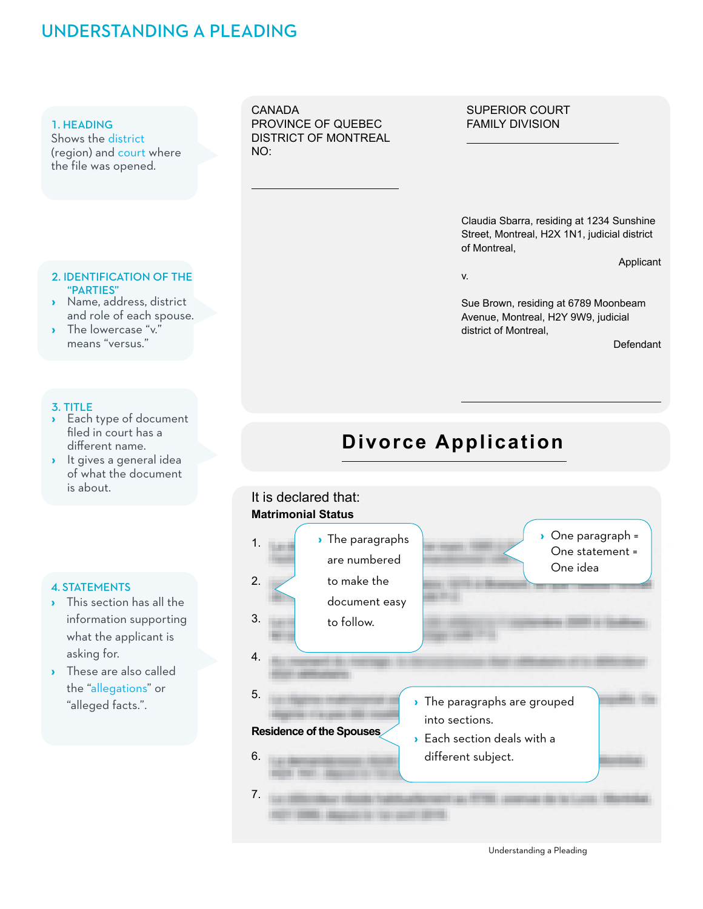## UNDERSTANDING A PLEADING

### 1. HEADING

Shows the district (region) and court where the file was opened.

## 2. IDENTIFICATION OF THE "PARTIES" **›** Name, address, district

- and role of each spouse.
- **›** The lowercase "v." means "versus."

### 3. TITLE

- **›** Each type of document filed in court has a different name.
- **›** It gives a general idea of what the document is about.

### 4. STATEMENTS

- **›** This section has all the information supporting what the applicant is asking for.
- **›** These are also called the "allegations" or "alleged facts.".

CANADA PROVINCE OF QUEBEC DISTRICT OF MONTREAL NO:

### SUPERIOR COURT FAMILY DIVISION

Claudia Sbarra, residing at 1234 Sunshine Street, Montreal, H2X 1N1, judicial district of Montreal,

v.

Sue Brown, residing at 6789 Moonbeam Avenue, Montreal, H2Y 9W9, judicial district of Montreal,

**Defendant** 

Applicant

# **Divorce Application**



Understanding a Pleading